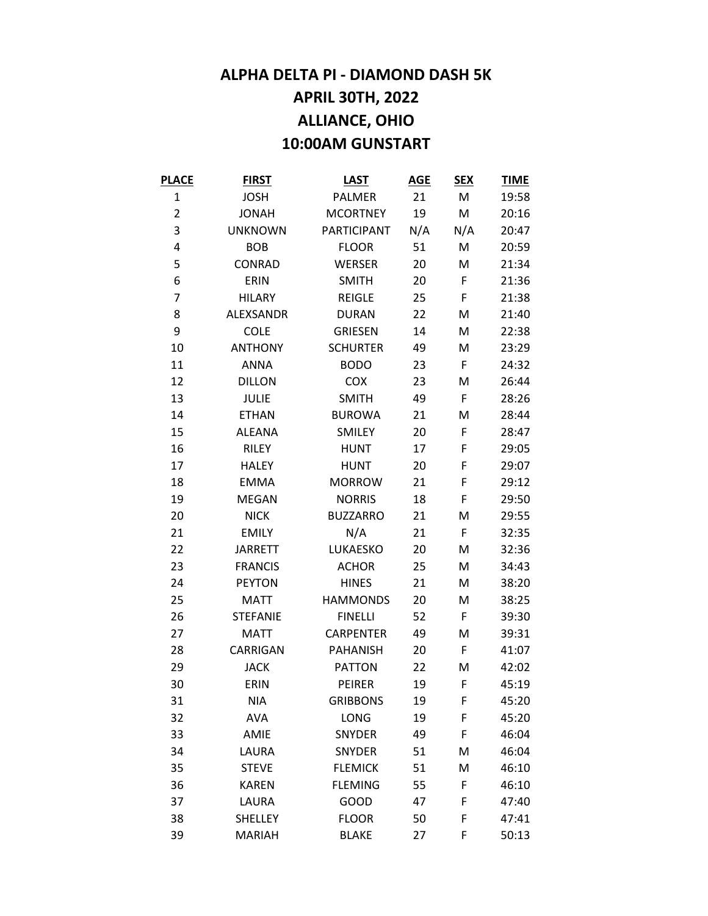## **ALPHA DELTA PI - DIAMOND DASH 5K APRIL 30TH, 2022 ALLIANCE, OHIO 10:00AM GUNSTART**

| <b>PLACE</b>   | <b>FIRST</b>    | <b>LAST</b>      | <b>AGE</b> | <b>SEX</b> | <b>TIME</b> |
|----------------|-----------------|------------------|------------|------------|-------------|
| 1              | <b>JOSH</b>     | <b>PALMER</b>    | 21         | M          | 19:58       |
| $\overline{2}$ | <b>JONAH</b>    | <b>MCORTNEY</b>  | 19         | M          | 20:16       |
| 3              | <b>UNKNOWN</b>  | PARTICIPANT      | N/A        | N/A        | 20:47       |
| 4              | <b>BOB</b>      | <b>FLOOR</b>     | 51         | M          | 20:59       |
| 5              | CONRAD          | <b>WERSER</b>    | 20         | M          | 21:34       |
| 6              | ERIN            | <b>SMITH</b>     | 20         | F          | 21:36       |
| 7              | <b>HILARY</b>   | <b>REIGLE</b>    | 25         | F          | 21:38       |
| 8              | ALEXSANDR       | <b>DURAN</b>     | 22         | M          | 21:40       |
| 9              | <b>COLE</b>     | <b>GRIESEN</b>   | 14         | M          | 22:38       |
| 10             | <b>ANTHONY</b>  | <b>SCHURTER</b>  | 49         | M          | 23:29       |
| 11             | <b>ANNA</b>     | <b>BODO</b>      | 23         | F          | 24:32       |
| 12             | <b>DILLON</b>   | <b>COX</b>       | 23         | M          | 26:44       |
| 13             | <b>JULIE</b>    | <b>SMITH</b>     | 49         | F          | 28:26       |
| 14             | <b>ETHAN</b>    | <b>BUROWA</b>    | 21         | M          | 28:44       |
| 15             | <b>ALEANA</b>   | <b>SMILEY</b>    | 20         | F          | 28:47       |
| 16             | <b>RILEY</b>    | <b>HUNT</b>      | 17         | F          | 29:05       |
| 17             | <b>HALEY</b>    | <b>HUNT</b>      | 20         | F          | 29:07       |
| 18             | <b>EMMA</b>     | <b>MORROW</b>    | 21         | F          | 29:12       |
| 19             | <b>MEGAN</b>    | <b>NORRIS</b>    | 18         | F          | 29:50       |
| 20             | <b>NICK</b>     | <b>BUZZARRO</b>  | 21         | M          | 29:55       |
| 21             | <b>EMILY</b>    | N/A              | 21         | F          | 32:35       |
| 22             | <b>JARRETT</b>  | LUKAESKO         | 20         | M          | 32:36       |
| 23             | <b>FRANCIS</b>  | <b>ACHOR</b>     | 25         | M          | 34:43       |
| 24             | <b>PEYTON</b>   | <b>HINES</b>     | 21         | M          | 38:20       |
| 25             | <b>MATT</b>     | <b>HAMMONDS</b>  | 20         | M          | 38:25       |
| 26             | <b>STEFANIE</b> | <b>FINELLI</b>   | 52         | F          | 39:30       |
| 27             | <b>MATT</b>     | <b>CARPENTER</b> | 49         | M          | 39:31       |
| 28             | CARRIGAN        | <b>PAHANISH</b>  | 20         | F          | 41:07       |
| 29             | <b>JACK</b>     | <b>PATTON</b>    | 22         | M          | 42:02       |
| 30             | ERIN            | PEIRER           | 19         | F.         | 45:19       |
| 31             | <b>NIA</b>      | <b>GRIBBONS</b>  | 19         | F          | 45:20       |
| 32             | <b>AVA</b>      | LONG             | 19         | F          | 45:20       |
| 33             | AMIE            | <b>SNYDER</b>    | 49         | F          | 46:04       |
| 34             | LAURA           | <b>SNYDER</b>    | 51         | Μ          | 46:04       |
| 35             | <b>STEVE</b>    | <b>FLEMICK</b>   | 51         | M          | 46:10       |
| 36             | <b>KAREN</b>    | <b>FLEMING</b>   | 55         | F          | 46:10       |
| 37             | LAURA           | GOOD             | 47         | F          | 47:40       |
| 38             | <b>SHELLEY</b>  | <b>FLOOR</b>     | 50         | F          | 47:41       |
| 39             | <b>MARIAH</b>   | <b>BLAKE</b>     | 27         | F          | 50:13       |